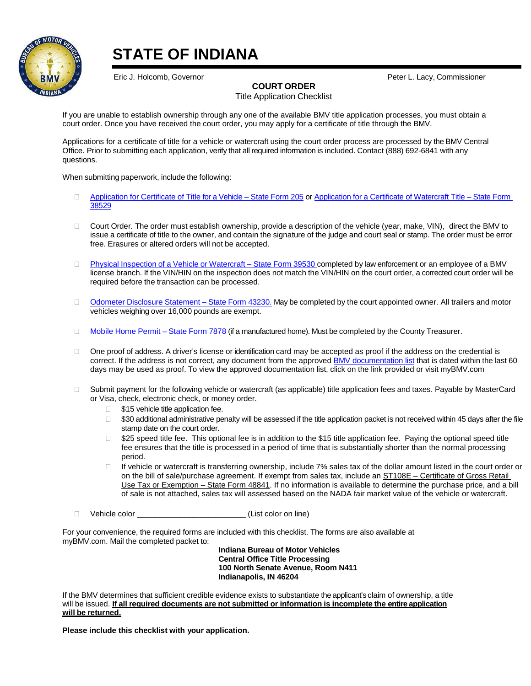

# **STATE OF INDIANA**

Eric J. Holcomb, Governor Peter L. Lacy, Commissioner

### **COURT ORDER**

Title Application Checklist

If you are unable to establish ownership through any one of the available BMV title application processes, you must obtain a court order. Once you have received the court order, you may apply for a certificate of title through the BMV.

Applications for a certificate of title for a vehicle or watercraft using the court order process are processed by the BMV Central Office. Prior to submitting each application, verify that all required information is included. Contact (888) 692-6841 with any questions.

When submitting paperwork, include the following:

- □ Application for Certificate of Title [for a Vehicle –](https://forms.in.gov/Download.aspx?id=12817) State Form 205 o[r Application for a Certificate of Watercraft Title –](https://forms.in.gov/Download.aspx?id=9739) State Form [38529](https://forms.in.gov/Download.aspx?id=9739)
- □ Court Order. The order must establish ownership, provide a description of the vehicle (year, make, VIN), direct the BMV to issue a certificate of title to the owner, and contain the signature of the judge and court seal or stamp. The order must be error free. Erasures or altered orders will not be accepted.
- □ Physical Inspection of a Vehicle or [Watercraft](https://forms.in.gov/Download.aspx?id=4998) State Form 39530 completed by law enforcement or an employee of a BMV license branch. If the VIN/HIN on the inspection does not match the VIN/HIN on the court order, a corrected court order will be required before the transaction can be processed.
- □ Odometer [Disclosure](https://forms.in.gov/Download.aspx?id=5061) Statement State Form 43230. May be completed by the court appointed owner. All trailers and motor vehicles weighing over 16,000 pounds are exempt.
- $\Box$  [Mobile](https://forms.in.gov/Download.aspx?id=4688) Home Permit State Form 7878 (if a manufactured home). Must be completed by the County Treasurer.
- □ One proof of address. A driver's license or identification card may be accepted as proof if the address on the credential is correct. If the address is not correct, any document from the approve[d BMV documentation list](http://www.in.gov/bmv/files/BMV_Documentation_List.pdf) that is dated within the last 60 days may be used as proof. To view the approved documentation list, click on the link provided or visit myBMV.com
- □ Submit payment for the following vehicle or watercraft (as applicable) title application fees and taxes. Payable by MasterCard or Visa, check, electronic check, or money order.
	- $\Box$  \$15 vehicle title application fee.
	- □ \$30 additional administrative penalty will be assessed if the title application packet is not received within 45 days after the file stamp date on the court order.
	- $\Box$  \$25 speed title fee. This optional fee is in addition to the \$15 title application fee. Paying the optional speed title fee ensures that the title is processed in a period of time that is substantially shorter than the normal processing period.
	- □ If vehicle or watercraft is transferring ownership, include 7% sales tax of the dollar amount listed in the court order or on the bill of sale/purchase agreement. If exempt from sales tax, include an ST108E - Certificate of Gross Retail [Use Tax or Exemption –](https://forms.in.gov/Download.aspx?id=7261) State Form 48841. If no information is available to determine the purchase price, and a bill of sale is not attached, sales tax will assessed based on the NADA fair market value of the vehicle or watercraft.
- □ Vehicle color (List color on line)

For your convenience, the required forms are included with this checklist. The forms are also available at myBMV.com. Mail the completed packet to:

**Indiana Bureau of Motor Vehicles Central Office Title Processing 100 North Senate Avenue, Room N411 Indianapolis, IN 46204**

If the BMV determines that sufficient credible evidence exists to substantiate the applicant's claim of ownership, a title will be issued. **If all required documents are not submitted or information is incomplete the entire application will be returned.**

**Please include this checklist with your application.**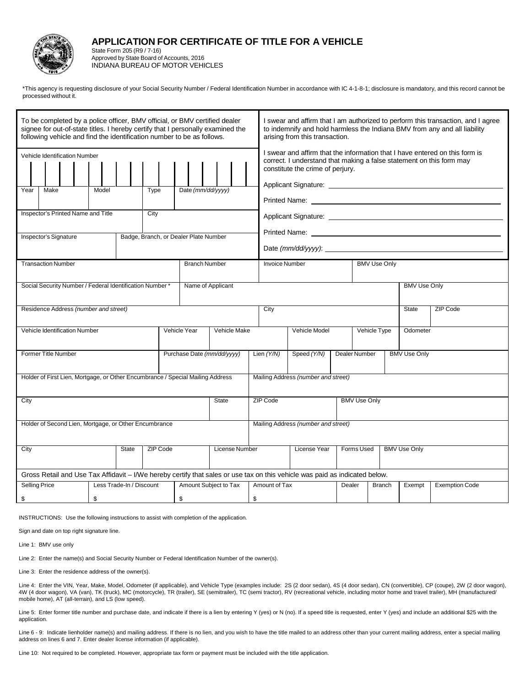

#### **APPLICATION FOR CERTIFICATE OF TITLE FOR A VEHICLE**

State Form 205 (R9 / 7-16) Approved by State Board of Accounts, 2016 INDIANA BUREAU OF MOTOR VEHICLES

\*This agency is requesting disclosure of your Social Security Number / Federal Identification Number in accordance with IC 4-1-8-1; disclosure is mandatory, and this record cannot be processed without it.

| To be completed by a police officer, BMV official, or BMV certified dealer<br>signee for out-of-state titles. I hereby certify that I personally examined the<br>following vehicle and find the identification number to be as follows. |                   |                          |  | I swear and affirm that I am authorized to perform this transaction, and I agree<br>to indemnify and hold harmless the Indiana BMV from any and all liability<br>arising from this transaction. |                       |               |                                                                                                                                                                                                                                  |                     |                     |        |                       |  |  |  |
|-----------------------------------------------------------------------------------------------------------------------------------------------------------------------------------------------------------------------------------------|-------------------|--------------------------|--|-------------------------------------------------------------------------------------------------------------------------------------------------------------------------------------------------|-----------------------|---------------|----------------------------------------------------------------------------------------------------------------------------------------------------------------------------------------------------------------------------------|---------------------|---------------------|--------|-----------------------|--|--|--|
| Vehicle Identification Number<br>Make<br>Year<br>Inspector's Printed Name and Title                                                                                                                                                     | Date (mm/dd/yyyy) |                          |  | I swear and affirm that the information that I have entered on this form is<br>correct. I understand that making a false statement on this form may<br>constitute the crime of perjury.         |                       |               |                                                                                                                                                                                                                                  |                     |                     |        |                       |  |  |  |
|                                                                                                                                                                                                                                         |                   |                          |  |                                                                                                                                                                                                 |                       |               |                                                                                                                                                                                                                                  |                     |                     |        |                       |  |  |  |
| Inspector's Signature                                                                                                                                                                                                                   |                   |                          |  | Badge, Branch, or Dealer Plate Number                                                                                                                                                           |                       |               | Printed Name: Website and the contract of the contract of the contract of the contract of the contract of the contract of the contract of the contract of the contract of the contract of the contract of the contract of the    |                     |                     |        |                       |  |  |  |
|                                                                                                                                                                                                                                         |                   |                          |  |                                                                                                                                                                                                 |                       |               |                                                                                                                                                                                                                                  | <b>BMV Use Only</b> |                     |        |                       |  |  |  |
| <b>Transaction Number</b>                                                                                                                                                                                                               |                   |                          |  | <b>Branch Number</b>                                                                                                                                                                            |                       |               | Applicant Signature: Applicant Signature:<br><b>Invoice Number</b><br><b>BMV Use Only</b><br><b>ZIP Code</b><br><b>State</b><br>Vehicle Model<br>Vehicle Type<br>Odometer<br>Speed (Y/N)<br>Dealer Number<br><b>BMV Use Only</b> |                     |                     |        |                       |  |  |  |
| Social Security Number / Federal Identification Number *<br>Name of Applicant                                                                                                                                                           |                   |                          |  |                                                                                                                                                                                                 |                       |               |                                                                                                                                                                                                                                  |                     |                     |        |                       |  |  |  |
| Residence Address (number and street)                                                                                                                                                                                                   |                   |                          |  |                                                                                                                                                                                                 |                       | City          |                                                                                                                                                                                                                                  |                     |                     |        |                       |  |  |  |
| Vehicle Identification Number                                                                                                                                                                                                           |                   |                          |  | Vehicle Year                                                                                                                                                                                    | Vehicle Make          |               |                                                                                                                                                                                                                                  |                     |                     |        |                       |  |  |  |
| <b>Former Title Number</b>                                                                                                                                                                                                              |                   |                          |  | Purchase Date (mm/dd/yyyy)                                                                                                                                                                      |                       | Lien $(Y/N)$  |                                                                                                                                                                                                                                  |                     |                     |        |                       |  |  |  |
| Holder of First Lien, Mortgage, or Other Encumbrance / Special Mailing Address                                                                                                                                                          |                   |                          |  |                                                                                                                                                                                                 |                       |               | Mailing Address (number and street)                                                                                                                                                                                              |                     |                     |        |                       |  |  |  |
| <b>State</b><br>City                                                                                                                                                                                                                    |                   |                          |  |                                                                                                                                                                                                 |                       | ZIP Code      | <b>BMV Use Only</b>                                                                                                                                                                                                              |                     |                     |        |                       |  |  |  |
| Holder of Second Lien, Mortgage, or Other Encumbrance                                                                                                                                                                                   |                   |                          |  |                                                                                                                                                                                                 |                       |               | Mailing Address (number and street)                                                                                                                                                                                              |                     |                     |        |                       |  |  |  |
| ZIP Code<br>City<br><b>State</b>                                                                                                                                                                                                        |                   |                          |  | License Number                                                                                                                                                                                  |                       | License Year  | Forms Used                                                                                                                                                                                                                       |                     | <b>BMV Use Only</b> |        |                       |  |  |  |
| Gross Retail and Use Tax Affidavit – I/We hereby certify that sales or use tax on this vehicle was paid as indicated below.                                                                                                             |                   |                          |  |                                                                                                                                                                                                 |                       |               |                                                                                                                                                                                                                                  |                     |                     |        |                       |  |  |  |
| <b>Selling Price</b>                                                                                                                                                                                                                    |                   | Less Trade-In / Discount |  |                                                                                                                                                                                                 | Amount Subject to Tax | Amount of Tax |                                                                                                                                                                                                                                  | Dealer              | <b>Branch</b>       | Exempt | <b>Exemption Code</b> |  |  |  |
| \$                                                                                                                                                                                                                                      | \$<br>\$          |                          |  |                                                                                                                                                                                                 | \$                    |               |                                                                                                                                                                                                                                  |                     |                     |        |                       |  |  |  |

INSTRUCTIONS: Use the following instructions to assist with completion of the application.

Sign and date on top right signature line.

Line 1: BMV use only

Line 2: Enter the name(s) and Social Security Number or Federal Identification Number of the owner(s).

Line 3: Enter the residence address of the owner(s).

Line 4: Enter the VIN, Year, Make, Model, Odometer (if applicable), and Vehicle Type (examples include: 2S (2 door sedan), 4S (4 door sedan), CN (convertible), CP (coupe), 2W (2 door wagon), 4W (4 door wagon), VA (van), TK (truck), MC (motorcycle), TR (trailer), SE (semitrailer), TC (semi tractor), RV (recreational vehicle, including motor home and travel trailer), MH (manufactured/ mobile home), AT (all-terrain), and LS (low speed).

Line 5: Enter former title number and purchase date, and indicate if there is a lien by entering Y (yes) or N (no). If a speed title is requested, enter Y (yes) and include an additional \$25 with the application.

Line 6 - 9: Indicate lienholder name(s) and mailing address. If there is no lien, and you wish to have the title mailed to an address other than your current mailing address, enter a special mailing address on lines 6 and 7. Enter dealer license information (if applicable).

Line 10: Not required to be completed. However, appropriate tax form or payment must be included with the title application.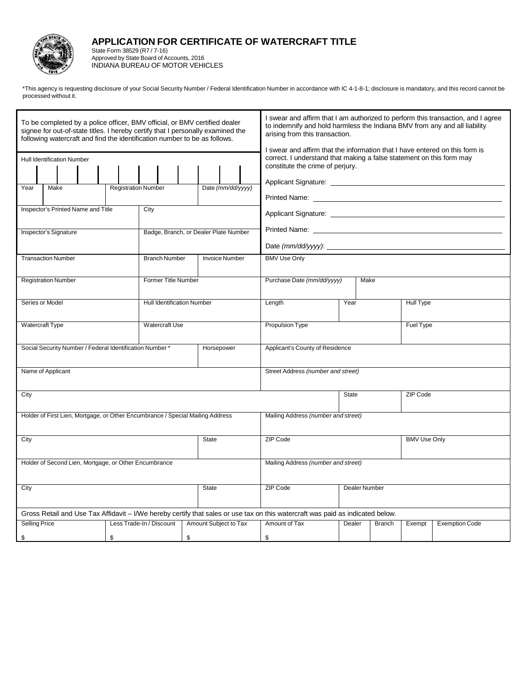

## **APPLICATION FOR CERTIFICATE OF WATERCRAFT TITLE**

State Form 38529 (R7 / 7-16) Approved by State Board of Accounts, 2016 INDIANA BUREAU OF MOTOR VEHICLES

\*This agency is requesting disclosure of your Social Security Number / Federal Identification Number in accordance with IC 4-1-8-1; disclosure is mandatory, and this record cannot be processed without it.

| To be completed by a police officer, BMV official, or BMV certified dealer<br>signee for out-of-state titles. I hereby certify that I personally examined the<br>following watercraft and find the identification number to be as follows.<br><b>Hull Identification Number</b><br>Year<br>Make<br><b>Registration Number</b><br>Inspector's Printed Name and Title<br>Inspector's Signature | City                                | Date (mm/dd/yyyy)<br>Badge, Branch, or Dealer Plate Number | I swear and affirm that I am authorized to perform this transaction, and I agree<br>to indemnify and hold harmless the Indiana BMV from any and all liability<br>arising from this transaction.<br>I swear and affirm that the information that I have entered on this form is<br>correct. I understand that making a false statement on this form may<br>constitute the crime of perjury.<br><b>Printed Name:</b> The contract of the contract of the contract of the contract of the contract of the contract of the contract of the contract of the contract of the contract of the contract of the contract of the contract o |                  |               |        |                       |  |  |  |  |
|----------------------------------------------------------------------------------------------------------------------------------------------------------------------------------------------------------------------------------------------------------------------------------------------------------------------------------------------------------------------------------------------|-------------------------------------|------------------------------------------------------------|-----------------------------------------------------------------------------------------------------------------------------------------------------------------------------------------------------------------------------------------------------------------------------------------------------------------------------------------------------------------------------------------------------------------------------------------------------------------------------------------------------------------------------------------------------------------------------------------------------------------------------------|------------------|---------------|--------|-----------------------|--|--|--|--|
|                                                                                                                                                                                                                                                                                                                                                                                              |                                     |                                                            |                                                                                                                                                                                                                                                                                                                                                                                                                                                                                                                                                                                                                                   |                  |               |        |                       |  |  |  |  |
| <b>Transaction Number</b>                                                                                                                                                                                                                                                                                                                                                                    | <b>Branch Number</b>                | <b>Invoice Number</b>                                      | <b>BMV Use Only</b>                                                                                                                                                                                                                                                                                                                                                                                                                                                                                                                                                                                                               | Make             |               |        |                       |  |  |  |  |
| <b>Registration Number</b>                                                                                                                                                                                                                                                                                                                                                                   | <b>Former Title Number</b>          |                                                            | Purchase Date (mm/dd/yyyy)                                                                                                                                                                                                                                                                                                                                                                                                                                                                                                                                                                                                        |                  |               |        |                       |  |  |  |  |
| Series or Model                                                                                                                                                                                                                                                                                                                                                                              | <b>Hull Identification Number</b>   | Year<br>Length                                             |                                                                                                                                                                                                                                                                                                                                                                                                                                                                                                                                                                                                                                   |                  | Hull Type     |        |                       |  |  |  |  |
| <b>Watercraft Type</b>                                                                                                                                                                                                                                                                                                                                                                       | <b>Watercraft Use</b>               |                                                            | Propulsion Type                                                                                                                                                                                                                                                                                                                                                                                                                                                                                                                                                                                                                   | <b>Fuel Type</b> |               |        |                       |  |  |  |  |
| Social Security Number / Federal Identification Number *                                                                                                                                                                                                                                                                                                                                     |                                     | Horsepower                                                 | Applicant's County of Residence                                                                                                                                                                                                                                                                                                                                                                                                                                                                                                                                                                                                   |                  |               |        |                       |  |  |  |  |
| Name of Applicant                                                                                                                                                                                                                                                                                                                                                                            |                                     |                                                            | Street Address (number and street)                                                                                                                                                                                                                                                                                                                                                                                                                                                                                                                                                                                                |                  |               |        |                       |  |  |  |  |
| City                                                                                                                                                                                                                                                                                                                                                                                         |                                     |                                                            | ZIP Code<br><b>State</b>                                                                                                                                                                                                                                                                                                                                                                                                                                                                                                                                                                                                          |                  |               |        |                       |  |  |  |  |
| Holder of First Lien, Mortgage, or Other Encumbrance / Special Mailing Address                                                                                                                                                                                                                                                                                                               |                                     |                                                            | Mailing Address (number and street)                                                                                                                                                                                                                                                                                                                                                                                                                                                                                                                                                                                               |                  |               |        |                       |  |  |  |  |
| City                                                                                                                                                                                                                                                                                                                                                                                         |                                     | <b>State</b>                                               | ZIP Code<br><b>BMV Use Only</b>                                                                                                                                                                                                                                                                                                                                                                                                                                                                                                                                                                                                   |                  |               |        |                       |  |  |  |  |
| Holder of Second Lien, Mortgage, or Other Encumbrance                                                                                                                                                                                                                                                                                                                                        | Mailing Address (number and street) |                                                            |                                                                                                                                                                                                                                                                                                                                                                                                                                                                                                                                                                                                                                   |                  |               |        |                       |  |  |  |  |
| City                                                                                                                                                                                                                                                                                                                                                                                         |                                     | <b>State</b>                                               | ZIP Code<br>Dealer Number                                                                                                                                                                                                                                                                                                                                                                                                                                                                                                                                                                                                         |                  |               |        |                       |  |  |  |  |
|                                                                                                                                                                                                                                                                                                                                                                                              |                                     |                                                            |                                                                                                                                                                                                                                                                                                                                                                                                                                                                                                                                                                                                                                   |                  |               |        |                       |  |  |  |  |
| Gross Retail and Use Tax Affidavit – I/We hereby certify that sales or use tax on this watercraft was paid as indicated below.<br><b>Selling Price</b><br>Less Trade-In / Discount                                                                                                                                                                                                           |                                     | Amount Subject to Tax                                      | Amount of Tax                                                                                                                                                                                                                                                                                                                                                                                                                                                                                                                                                                                                                     | Dealer           | <b>Branch</b> | Exempt | <b>Exemption Code</b> |  |  |  |  |
| \$<br>\$                                                                                                                                                                                                                                                                                                                                                                                     | \$                                  |                                                            | \$                                                                                                                                                                                                                                                                                                                                                                                                                                                                                                                                                                                                                                |                  |               |        |                       |  |  |  |  |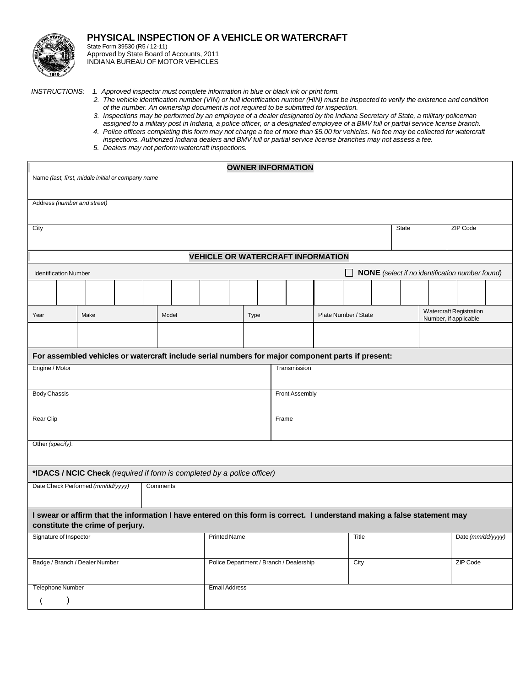

## **PHYSICAL INSPECTION OF A VEHICLE OR WATERCRAFT**

State Form 39530 (R5 / 12-11) Approved by State Board of Accounts, 2011 INDIANA BUREAU OF MOTOR VEHICLES

- *INSTRUCTIONS: 1. Approved inspector must complete information in blue or black ink or print form.*
	- 2. The vehicle identification number (VIN) or hull identification number (HIN) must be inspected to verify the existence and condition *of the number. An ownership document is not required to be submitted for inspection.*
	- 3. Inspections may be performed by an employee of a dealer designated by the Indiana Secretary of State, a military policeman assigned to a military post in Indiana, a police officer, or a designated employee of a BMV full or partial service license branch.
	- 4. Police officers completing this form may not charge a fee of more than \$5.00 for vehicles. No fee may be collected for watercraft *inspections. Authorized Indiana dealers and BMV full or partial service license branches may not assess a fee.*
	- *5. Dealers may not perform watercraft inspections.*

| <b>OWNER INFORMATION</b>                                                                                                                                     |      |  |  |       |                      |      |  |                |  |                      |              |                 |  |                                                         |  |
|--------------------------------------------------------------------------------------------------------------------------------------------------------------|------|--|--|-------|----------------------|------|--|----------------|--|----------------------|--------------|-----------------|--|---------------------------------------------------------|--|
| Name (last, first, middle initial or company name                                                                                                            |      |  |  |       |                      |      |  |                |  |                      |              |                 |  |                                                         |  |
| Address (number and street)                                                                                                                                  |      |  |  |       |                      |      |  |                |  |                      |              |                 |  |                                                         |  |
|                                                                                                                                                              |      |  |  |       |                      |      |  |                |  |                      |              |                 |  |                                                         |  |
| City                                                                                                                                                         |      |  |  |       |                      |      |  |                |  |                      | <b>State</b> | <b>ZIP Code</b> |  |                                                         |  |
|                                                                                                                                                              |      |  |  |       |                      |      |  |                |  |                      |              |                 |  |                                                         |  |
| <b>VEHICLE OR WATERCRAFT INFORMATION</b>                                                                                                                     |      |  |  |       |                      |      |  |                |  |                      |              |                 |  |                                                         |  |
| NONE (select if no identification number found)<br><b>Identification Number</b>                                                                              |      |  |  |       |                      |      |  |                |  |                      |              |                 |  |                                                         |  |
|                                                                                                                                                              |      |  |  |       |                      |      |  |                |  |                      |              |                 |  |                                                         |  |
| Year                                                                                                                                                         | Make |  |  | Model |                      | Type |  |                |  | Plate Number / State |              |                 |  | <b>Watercraft Registration</b><br>Number, if applicable |  |
|                                                                                                                                                              |      |  |  |       |                      |      |  |                |  |                      |              |                 |  |                                                         |  |
| For assembled vehicles or watercraft include serial numbers for major component parts if present:                                                            |      |  |  |       |                      |      |  |                |  |                      |              |                 |  |                                                         |  |
| Engine / Motor                                                                                                                                               |      |  |  |       |                      |      |  | Transmission   |  |                      |              |                 |  |                                                         |  |
|                                                                                                                                                              |      |  |  |       |                      |      |  |                |  |                      |              |                 |  |                                                         |  |
| <b>Body Chassis</b>                                                                                                                                          |      |  |  |       |                      |      |  | Front Assembly |  |                      |              |                 |  |                                                         |  |
| <b>Rear Clip</b>                                                                                                                                             |      |  |  |       |                      |      |  | Frame          |  |                      |              |                 |  |                                                         |  |
| Other (specify):                                                                                                                                             |      |  |  |       |                      |      |  |                |  |                      |              |                 |  |                                                         |  |
| *IDACS / NCIC Check (required if form is completed by a police officer)                                                                                      |      |  |  |       |                      |      |  |                |  |                      |              |                 |  |                                                         |  |
| Date Check Performed (mm/dd/yyyy)<br>Comments                                                                                                                |      |  |  |       |                      |      |  |                |  |                      |              |                 |  |                                                         |  |
| I swear or affirm that the information I have entered on this form is correct. I understand making a false statement may<br>constitute the crime of perjury. |      |  |  |       |                      |      |  |                |  |                      |              |                 |  |                                                         |  |
| Signature of Inspector<br><b>Printed Name</b>                                                                                                                |      |  |  |       |                      |      |  |                |  | Title                |              |                 |  | Date (mm/dd/yyyy)                                       |  |
| Badge / Branch / Dealer Number<br>Police Department / Branch / Dealership                                                                                    |      |  |  |       |                      |      |  | City           |  |                      |              |                 |  | ZIP Code                                                |  |
| <b>Telephone Number</b>                                                                                                                                      |      |  |  |       | <b>Email Address</b> |      |  |                |  |                      |              |                 |  |                                                         |  |
| $\lambda$                                                                                                                                                    |      |  |  |       |                      |      |  |                |  |                      |              |                 |  |                                                         |  |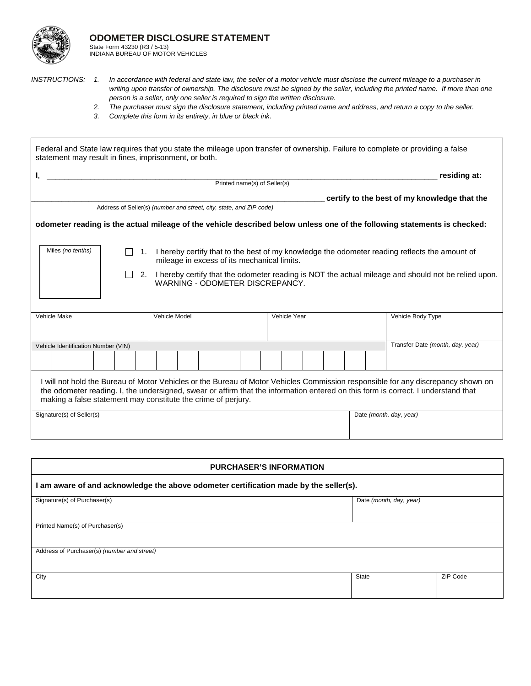

INDIANA BUREAU OF MOTOR VEHICLES

- *INSTRUCTIONS: 1. In accordance with federal and state law, the seller of a motor vehicle must disclose the current mileage to a purchaser in writing upon transfer of ownership. The disclosure must be signed by the seller, including the printed name. If more than one person is a seller, only one seller is required to sign the written disclosure.*
	- *2. The purchaser must sign the disclosure statement, including printed name and address, and return a copy to the seller.*
	- *3. Complete this form in its entirety, in blue or black ink.*

| statement may result in fines, imprisonment, or both.                                                                                                                                                                                                                                                                                  |                                                                                                                                                           |  |               |  |  |  |                              |  |              |  |  |  |                                                                                                                          |
|----------------------------------------------------------------------------------------------------------------------------------------------------------------------------------------------------------------------------------------------------------------------------------------------------------------------------------------|-----------------------------------------------------------------------------------------------------------------------------------------------------------|--|---------------|--|--|--|------------------------------|--|--------------|--|--|--|--------------------------------------------------------------------------------------------------------------------------|
| I,                                                                                                                                                                                                                                                                                                                                     |                                                                                                                                                           |  |               |  |  |  | Printed name(s) of Seller(s) |  |              |  |  |  | residing at:                                                                                                             |
|                                                                                                                                                                                                                                                                                                                                        |                                                                                                                                                           |  |               |  |  |  |                              |  |              |  |  |  |                                                                                                                          |
|                                                                                                                                                                                                                                                                                                                                        |                                                                                                                                                           |  |               |  |  |  |                              |  |              |  |  |  | certify to the best of my knowledge that the                                                                             |
|                                                                                                                                                                                                                                                                                                                                        | Address of Seller(s) (number and street, city, state, and ZIP code)                                                                                       |  |               |  |  |  |                              |  |              |  |  |  |                                                                                                                          |
|                                                                                                                                                                                                                                                                                                                                        |                                                                                                                                                           |  |               |  |  |  |                              |  |              |  |  |  | odometer reading is the actual mileage of the vehicle described below unless one of the following statements is checked: |
|                                                                                                                                                                                                                                                                                                                                        |                                                                                                                                                           |  |               |  |  |  |                              |  |              |  |  |  |                                                                                                                          |
| Miles (no tenths)                                                                                                                                                                                                                                                                                                                      | 1. I hereby certify that to the best of my knowledge the odometer reading reflects the amount of<br>$\Box$<br>mileage in excess of its mechanical limits. |  |               |  |  |  |                              |  |              |  |  |  |                                                                                                                          |
| 2. I hereby certify that the odometer reading is NOT the actual mileage and should not be relied upon.<br>WARNING - ODOMETER DISCREPANCY.                                                                                                                                                                                              |                                                                                                                                                           |  |               |  |  |  |                              |  |              |  |  |  |                                                                                                                          |
| Vehicle Make                                                                                                                                                                                                                                                                                                                           |                                                                                                                                                           |  | Vehicle Model |  |  |  |                              |  | Vehicle Year |  |  |  | Vehicle Body Type                                                                                                        |
|                                                                                                                                                                                                                                                                                                                                        |                                                                                                                                                           |  |               |  |  |  |                              |  |              |  |  |  |                                                                                                                          |
| Vehicle Identification Number (VIN)                                                                                                                                                                                                                                                                                                    |                                                                                                                                                           |  |               |  |  |  |                              |  |              |  |  |  | Transfer Date (month, day, year)                                                                                         |
|                                                                                                                                                                                                                                                                                                                                        |                                                                                                                                                           |  |               |  |  |  |                              |  |              |  |  |  |                                                                                                                          |
| I will not hold the Bureau of Motor Vehicles or the Bureau of Motor Vehicles Commission responsible for any discrepancy shown on<br>the odometer reading. I, the undersigned, swear or affirm that the information entered on this form is correct. I understand that<br>making a false statement may constitute the crime of perjury. |                                                                                                                                                           |  |               |  |  |  |                              |  |              |  |  |  |                                                                                                                          |
| Signature(s) of Seller(s)                                                                                                                                                                                                                                                                                                              |                                                                                                                                                           |  |               |  |  |  |                              |  |              |  |  |  | Date (month, day, year)                                                                                                  |

| <b>PURCHASER'S INFORMATION</b>                                                        |       |          |  |  |  |  |  |  |  |
|---------------------------------------------------------------------------------------|-------|----------|--|--|--|--|--|--|--|
| I am aware of and acknowledge the above odometer certification made by the seller(s). |       |          |  |  |  |  |  |  |  |
| Signature(s) of Purchaser(s)<br>Date (month, day, year)                               |       |          |  |  |  |  |  |  |  |
| Printed Name(s) of Purchaser(s)                                                       |       |          |  |  |  |  |  |  |  |
| Address of Purchaser(s) (number and street)                                           |       |          |  |  |  |  |  |  |  |
| City                                                                                  | State | ZIP Code |  |  |  |  |  |  |  |